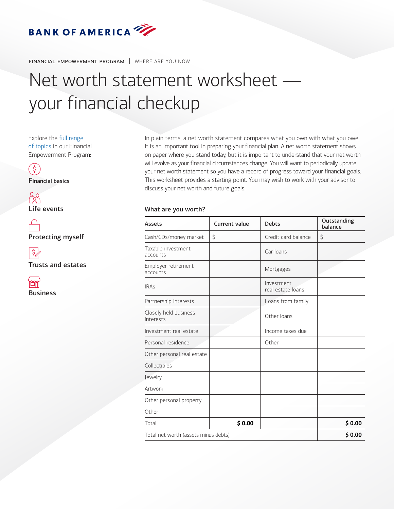

financial empowerment program | WHERE ARE YOU NOW

## Net worth statement worksheet your financial checkup

Explore the [full range](https://www.privatebank.bankofamerica.com/publish/ustrust/feo/index.html)  [of topics](https://www.privatebank.bankofamerica.com/publish/ustrust/feo/index.html) in our Financial Empowerment Program:



Financial basics



Life events

 $\bigcap$ Protecting myself



Trusts and estates



In plain terms, a net worth statement compares what you own with what you owe. It is an important tool in preparing your financial plan. A net worth statement shows on paper where you stand today, but it is important to understand that your net worth will evolve as your financial circumstances change. You will want to periodically update your net worth statement so you have a record of progress toward your financial goals. This worksheet provides a starting point. You may wish to work with your advisor to discuss your net worth and future goals.

## What are you worth?

| <b>Assets</b>                        | <b>Current value</b> | <b>Debts</b>                    | Outstanding<br>balance |
|--------------------------------------|----------------------|---------------------------------|------------------------|
| Cash/CDs/money market                | \$                   | Credit card balance             | \$                     |
| Taxable investment<br>accounts       |                      | Car Ioans                       |                        |
| Employer retirement<br>accounts      |                      | Mortgages                       |                        |
| <b>IRAs</b>                          |                      | Investment<br>real estate loans |                        |
| Partnership interests                |                      | Loans from family               |                        |
| Closely held business<br>interests   |                      | Other loans                     |                        |
| Investment real estate               |                      | Income taxes due                |                        |
| Personal residence                   |                      | Other                           |                        |
| Other personal real estate           |                      |                                 |                        |
| Collectibles                         |                      |                                 |                        |
| Jewelry                              |                      |                                 |                        |
| Artwork                              |                      |                                 |                        |
| Other personal property              |                      |                                 |                        |
| Other                                |                      |                                 |                        |
| Total                                | \$0.00               |                                 | \$0.00                 |
| Total net worth (assets minus debts) |                      |                                 | \$0.00                 |